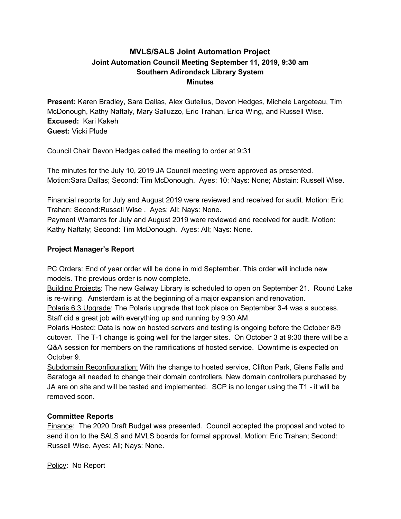# **MVLS/SALS Joint Automation Project Joint Automation Council Meeting September 11, 2019, 9:30 am Southern Adirondack Library System Minutes**

**Present:** Karen Bradley, Sara Dallas, Alex Gutelius, Devon Hedges, Michele Largeteau, Tim McDonough, Kathy Naftaly, Mary Salluzzo, Eric Trahan, Erica Wing, and Russell Wise. **Excused:** Kari Kakeh **Guest:** Vicki Plude

Council Chair Devon Hedges called the meeting to order at 9:31

The minutes for the July 10, 2019 JA Council meeting were approved as presented. Motion:Sara Dallas; Second: Tim McDonough. Ayes: 10; Nays: None; Abstain: Russell Wise.

Financial reports for July and August 2019 were reviewed and received for audit. Motion: Eric Trahan; Second:Russell Wise . Ayes: All; Nays: None.

Payment Warrants for July and August 2019 were reviewed and received for audit. Motion: Kathy Naftaly; Second: Tim McDonough. Ayes: All; Nays: None.

## **Project Manager's Report**

PC Orders: End of year order will be done in mid September. This order will include new models. The previous order is now complete.

Building Projects: The new Galway Library is scheduled to open on September 21. Round Lake is re-wiring. Amsterdam is at the beginning of a major expansion and renovation.

Polaris 6.3 Upgrade: The Polaris upgrade that took place on September 3-4 was a success. Staff did a great job with everything up and running by 9:30 AM.

Polaris Hosted: Data is now on hosted servers and testing is ongoing before the October 8/9 cutover. The T-1 change is going well for the larger sites. On October 3 at 9:30 there will be a Q&A session for members on the ramifications of hosted service. Downtime is expected on October 9.

Subdomain Reconfiguration: With the change to hosted service, Clifton Park, Glens Falls and Saratoga all needed to change their domain controllers. New domain controllers purchased by JA are on site and will be tested and implemented. SCP is no longer using the T1 - it will be removed soon.

## **Committee Reports**

Finance: The 2020 Draft Budget was presented. Council accepted the proposal and voted to send it on to the SALS and MVLS boards for formal approval. Motion: Eric Trahan; Second: Russell Wise. Ayes: All; Nays: None.

Policy: No Report